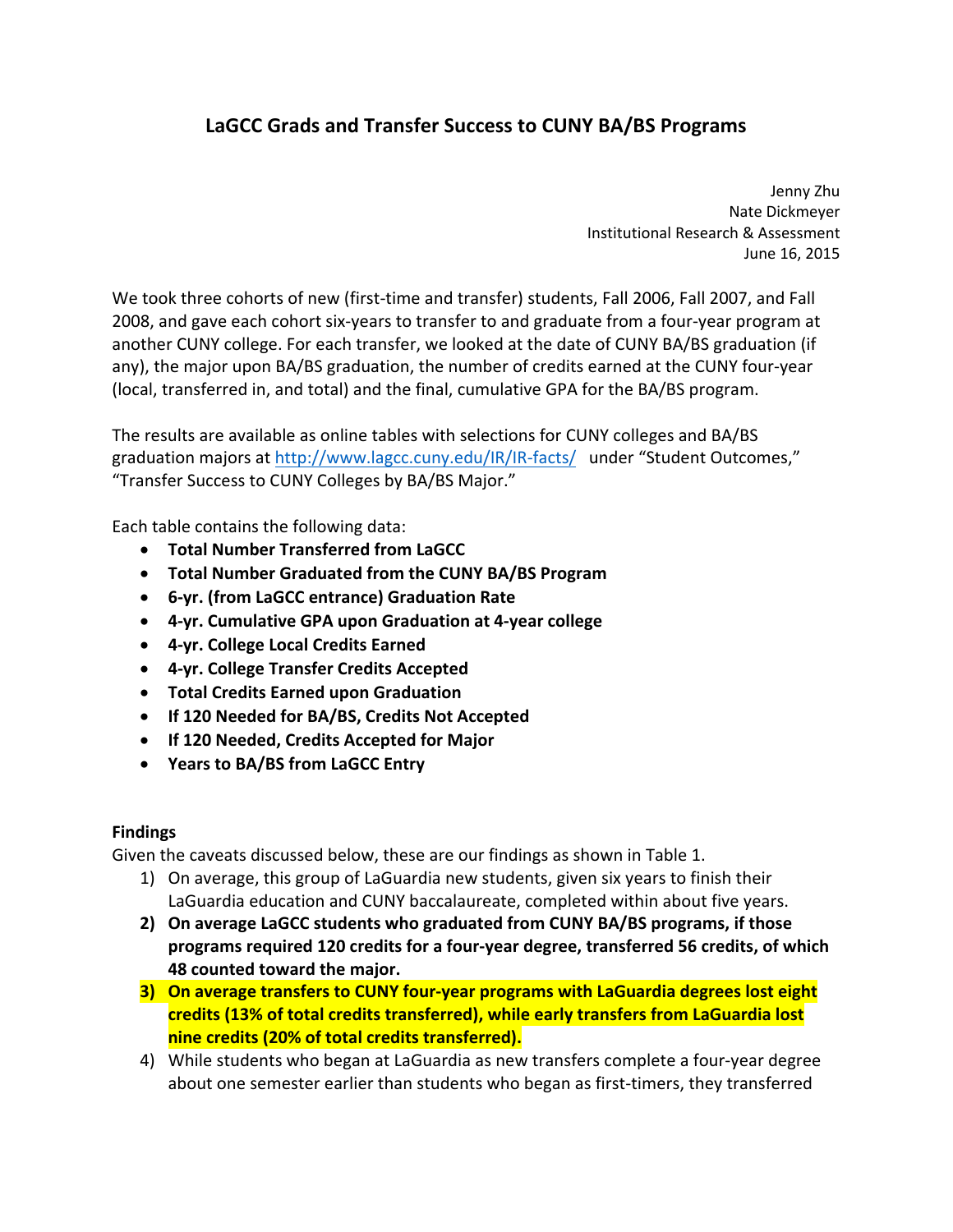## **LaGCC Grads and Transfer Success to CUNY BA/BS Programs**

 Jenny Zhu Nate Dickmeyer Institutional Research & Assessment June 16, 2015

 We took three cohorts of new (first‐time and transfer) students, Fall 2006, Fall 2007, and Fall 2008, and gave each cohort six‐years to transfer to and graduate from a four‐year program at another CUNY college. For each transfer, we looked at the date of CUNY BA/BS graduation (if any), the major upon BA/BS graduation, the number of credits earned at the CUNY four‐year (local, transferred in, and total) and the final, cumulative GPA for the BA/BS program.

 The results are available as online tables with selections for CUNY colleges and BA/BS graduation majors at <u>[http://www.lagcc.cuny.edu/IR/IR](http://www.lagcc.cuny.edu/IR/IR-facts)-facts/</u> under "Student Outcomes," "Transfer Success to CUNY Colleges by BA/BS Major."

Each table contains the following data:

- **Total Number Transferred from LaGCC**
- **Total Number Graduated from the CUNY BA/BS Program**
- **6‐yr. (from LaGCC entrance) Graduation Rate**
- **4‐yr. Cumulative GPA upon Graduation at 4‐year college**
- **4‐yr. College Local Credits Earned**
- **4‐yr. College Transfer Credits Accepted**
- **Total Credits Earned upon Graduation**
- **If 120 Needed for BA/BS, Credits Not Accepted**
- **If 120 Needed, Credits Accepted for Major**
- **Years to BA/BS from LaGCC Entry**

## **Findings**

Given the caveats discussed below, these are our findings as shown in Table 1.

- 1) On average, this group of LaGuardia new students, given six years to finish their LaGuardia education and CUNY baccalaureate, completed within about five years.
- **2) On average LaGCC students who graduated from CUNY BA/BS programs, if those programs required 120 credits for a four‐year degree, transferred 56 credits, of which 48 counted toward the major.**
- **3) On average transfers to CUNY four‐year programs with LaGuardia degrees lost eight credits (13% of total credits transferred), while early transfers from LaGuardia lost nine credits (20% of total credits transferred).**
- 4) While students who began at LaGuardia as new transfers complete a four‐year degree about one semester earlier than students who began as first‐timers, they transferred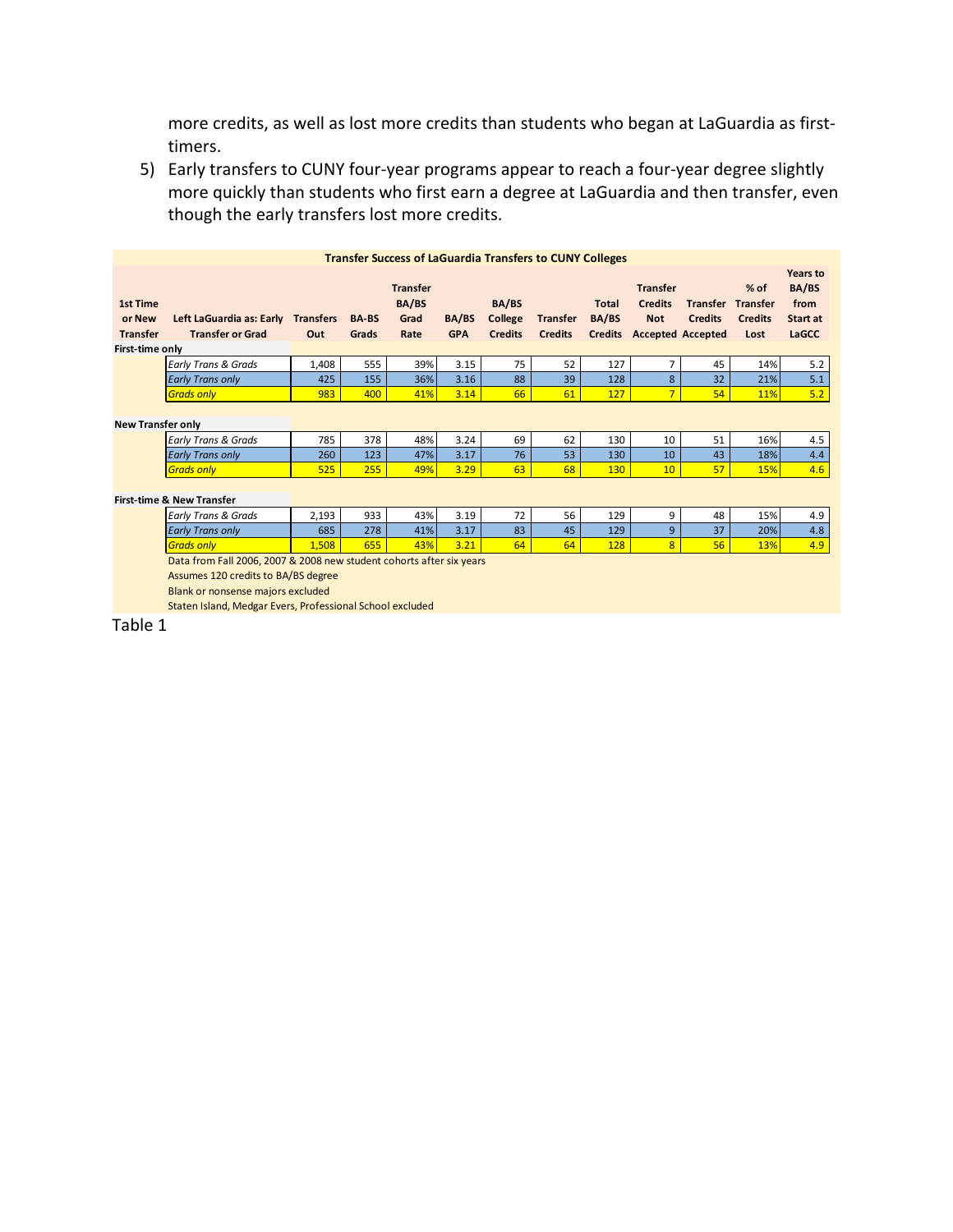more credits, as well as lost more credits than students who began at LaGuardia as first‐ timers.

 5) Early transfers to CUNY four‐year programs appear to reach a four‐year degree slightly though the early transfers lost more credits. more quickly than students who first earn a degree at LaGuardia and then transfer, even

| <b>Transfer Success of LaGuardia Transfers to CUNY Colleges</b> |                                                                                                                                                                                                               |                         |                       |                                          |                     |                                    |                                   |                       |                                                 |                                                                       |                                                     |                                                |
|-----------------------------------------------------------------|---------------------------------------------------------------------------------------------------------------------------------------------------------------------------------------------------------------|-------------------------|-----------------------|------------------------------------------|---------------------|------------------------------------|-----------------------------------|-----------------------|-------------------------------------------------|-----------------------------------------------------------------------|-----------------------------------------------------|------------------------------------------------|
| <b>1st Time</b><br>or New<br><b>Transfer</b>                    | Left LaGuardia as: Early<br><b>Transfer or Grad</b>                                                                                                                                                           | <b>Transfers</b><br>Out | <b>BA-BS</b><br>Grads | <b>Transfer</b><br>BA/BS<br>Grad<br>Rate | BA/BS<br><b>GPA</b> | BA/BS<br>College<br><b>Credits</b> | <b>Transfer</b><br><b>Credits</b> | <b>Total</b><br>BA/BS | <b>Transfer</b><br><b>Credits</b><br><b>Not</b> | <b>Transfer</b><br><b>Credits</b><br><b>Credits</b> Accepted Accepted | $%$ of<br><b>Transfer</b><br><b>Credits</b><br>Lost | Years to<br>BA/BS<br>from<br>Start at<br>LaGCC |
| First-time only                                                 |                                                                                                                                                                                                               |                         |                       |                                          |                     |                                    |                                   |                       |                                                 |                                                                       |                                                     |                                                |
|                                                                 | <b>Early Trans &amp; Grads</b>                                                                                                                                                                                | 1,408                   | 555                   | 39%                                      | 3.15                | 75                                 | 52                                | 127                   | 7                                               | 45                                                                    | 14%                                                 | 5.2                                            |
|                                                                 | <b>Early Trans only</b>                                                                                                                                                                                       | 425                     | 155                   | 36%                                      | 3.16                | 88                                 | 39                                | 128                   | 8                                               | 32                                                                    | 21%                                                 | 5.1                                            |
|                                                                 | <b>Grads only</b>                                                                                                                                                                                             | 983                     | 400                   | 41%                                      | 3.14                | 66                                 | 61                                | 127                   | $\overline{7}$                                  | 54                                                                    | 11%                                                 | 5.2                                            |
| <b>New Transfer only</b>                                        |                                                                                                                                                                                                               |                         |                       |                                          |                     |                                    |                                   |                       |                                                 |                                                                       |                                                     |                                                |
|                                                                 | <b>Early Trans &amp; Grads</b>                                                                                                                                                                                | 785                     | 378                   | 48%                                      | 3.24                | 69                                 | 62                                | 130                   | 10                                              | 51                                                                    | 16%                                                 | 4.5                                            |
|                                                                 | <b>Early Trans only</b>                                                                                                                                                                                       | 260                     | 123                   | 47%                                      | 3.17                | 76                                 | 53                                | 130                   | 10                                              | 43                                                                    | 18%                                                 | 4.4                                            |
|                                                                 | <b>Grads only</b>                                                                                                                                                                                             | 525                     | 255                   | 49%                                      | 3.29                | 63                                 | 68                                | <b>130</b>            | 10                                              | 57                                                                    | 15%                                                 | 4.6                                            |
| <b>First-time &amp; New Transfer</b>                            |                                                                                                                                                                                                               |                         |                       |                                          |                     |                                    |                                   |                       |                                                 |                                                                       |                                                     |                                                |
|                                                                 | <b>Early Trans &amp; Grads</b>                                                                                                                                                                                | 2,193                   | 933                   | 43%                                      | 3.19                | 72                                 | 56                                | 129                   | 9                                               | 48                                                                    | 15%                                                 | 4.9                                            |
|                                                                 | <b>Early Trans only</b>                                                                                                                                                                                       | 685                     | 278                   | 41%                                      | 3.17                | 83                                 | 45                                | 129                   | 9                                               | 37                                                                    | 20%                                                 | 4.8                                            |
|                                                                 | <b>Grads only</b>                                                                                                                                                                                             | 1.508                   | 655                   | 43%                                      | 3.21                | 64                                 | 64                                | 128                   | 8                                               | 56                                                                    | 13%                                                 | 4.9                                            |
|                                                                 | Data from Fall 2006, 2007 & 2008 new student cohorts after six years<br>Assumes 120 credits to BA/BS degree<br>Blank or nonsense majors excluded<br>Staten Island, Medgar Evers, Professional School excluded |                         |                       |                                          |                     |                                    |                                   |                       |                                                 |                                                                       |                                                     |                                                |

Table 1